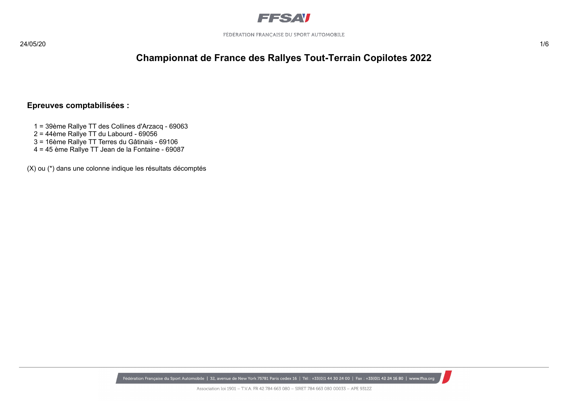

### **Epreuves comptabilisées :**

- 1 = 39ème Rallye TT des Collines d'Arzacq 69063
- 2 = 44ème Rallye TT du Labourd 69056
- 3 = 16ème Rallye TT Terres du Gâtinais 69106
- 4 = 45 ème Rallye TT Jean de la Fontaine 69087

(X) ou (\*) dans une colonne indique les résultats décomptés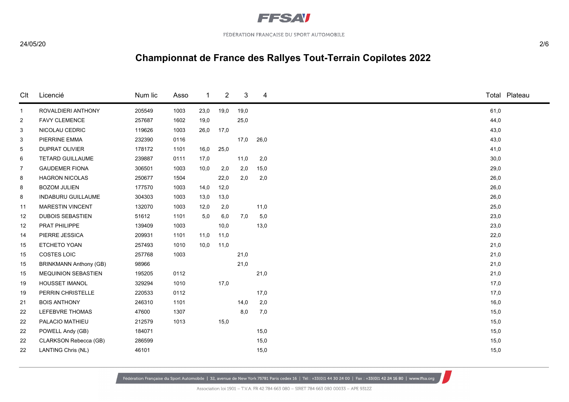

| Clt            | Licencié                      | Num lic | Asso |      | $\overline{c}$ | 3    | 4    |      | Total Plateau |
|----------------|-------------------------------|---------|------|------|----------------|------|------|------|---------------|
| $\mathbf{1}$   | ROVALDIERI ANTHONY            | 205549  | 1003 | 23,0 | 19,0           | 19,0 |      | 61,0 |               |
| $\overline{2}$ | <b>FAVY CLEMENCE</b>          | 257687  | 1602 | 19,0 |                | 25,0 |      | 44,0 |               |
| 3              | NICOLAU CEDRIC                | 119626  | 1003 | 26,0 | 17,0           |      |      | 43,0 |               |
| 3              | PIERRINE EMMA                 | 232390  | 0116 |      |                | 17,0 | 26,0 | 43,0 |               |
| 5              | <b>DUPRAT OLIVIER</b>         | 178172  | 1101 | 16,0 | 25,0           |      |      | 41,0 |               |
| 6              | TETARD GUILLAUME              | 239887  | 0111 | 17,0 |                | 11,0 | 2,0  | 30,0 |               |
| $\overline{7}$ | <b>GAUDEMER FIONA</b>         | 306501  | 1003 | 10,0 | 2,0            | 2,0  | 15,0 | 29,0 |               |
| 8              | <b>HAGRON NICOLAS</b>         | 250677  | 1504 |      | 22,0           | 2,0  | 2,0  | 26,0 |               |
| 8              | <b>BOZOM JULIEN</b>           | 177570  | 1003 | 14,0 | 12,0           |      |      | 26,0 |               |
| 8              | INDABURU GUILLAUME            | 304303  | 1003 | 13,0 | 13,0           |      |      | 26,0 |               |
| 11             | <b>MARESTIN VINCENT</b>       | 132070  | 1003 | 12,0 | 2,0            |      | 11,0 | 25,0 |               |
| 12             | <b>DUBOIS SEBASTIEN</b>       | 51612   | 1101 | 5,0  | 6,0            | 7,0  | 5,0  | 23,0 |               |
| 12             | PRAT PHILIPPE                 | 139409  | 1003 |      | 10,0           |      | 13,0 | 23,0 |               |
| 14             | PIERRE JESSICA                | 209931  | 1101 | 11,0 | 11,0           |      |      | 22,0 |               |
| 15             | ETCHETO YOAN                  | 257493  | 1010 | 10,0 | 11,0           |      |      | 21,0 |               |
| 15             | COSTES LOIC                   | 257768  | 1003 |      |                | 21,0 |      | 21,0 |               |
| 15             | <b>BRINKMANN Anthony (GB)</b> | 98966   |      |      |                | 21,0 |      | 21,0 |               |
| 15             | MEQUINION SEBASTIEN           | 195205  | 0112 |      |                |      | 21,0 | 21,0 |               |
| 19             | <b>HOUSSET IMANOL</b>         | 329294  | 1010 |      | 17,0           |      |      | 17,0 |               |
| 19             | PERRIN CHRISTELLE             | 220533  | 0112 |      |                |      | 17,0 | 17,0 |               |
| 21             | <b>BOIS ANTHONY</b>           | 246310  | 1101 |      |                | 14,0 | 2,0  | 16,0 |               |
| 22             | LEFEBVRE THOMAS               | 47600   | 1307 |      |                | 8,0  | 7,0  | 15,0 |               |
| 22             | PALACIO MATHIEU               | 212579  | 1013 |      | 15,0           |      |      | 15,0 |               |
| 22             | POWELL Andy (GB)              | 184071  |      |      |                |      | 15,0 | 15,0 |               |
| 22             | CLARKSON Rebecca (GB)         | 286599  |      |      |                |      | 15,0 | 15,0 |               |
| 22             | <b>LANTING Chris (NL)</b>     | 46101   |      |      |                |      | 15,0 | 15,0 |               |
|                |                               |         |      |      |                |      |      |      |               |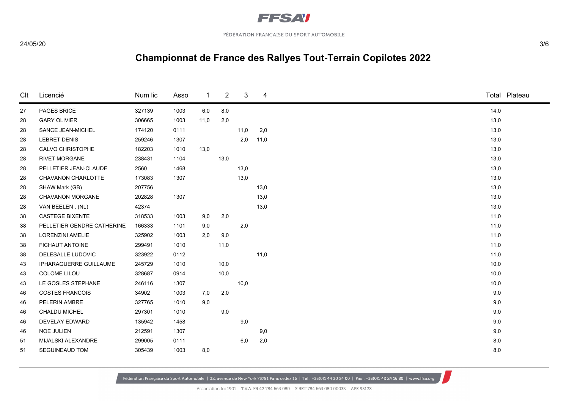

| Clt | Licencié                      | Num lic | Asso | 1    | $\overline{2}$ | $\mathbf{3}$ | 4    |      | Total Plateau |
|-----|-------------------------------|---------|------|------|----------------|--------------|------|------|---------------|
| 27  | <b>PAGES BRICE</b>            | 327139  | 1003 | 6,0  | 8,0            |              |      | 14,0 |               |
| 28  | <b>GARY OLIVIER</b>           | 306665  | 1003 | 11,0 | 2,0            |              |      | 13,0 |               |
| 28  | SANCE JEAN-MICHEL             | 174120  | 0111 |      |                | 11,0         | 2,0  | 13,0 |               |
| 28  | <b>LEBRET DENIS</b>           | 259246  | 1307 |      |                | 2,0          | 11,0 | 13,0 |               |
| 28  | <b>CALVO CHRISTOPHE</b>       | 182203  | 1010 | 13,0 |                |              |      | 13,0 |               |
| 28  | <b>RIVET MORGANE</b>          | 238431  | 1104 |      | 13,0           |              |      | 13,0 |               |
| 28  | PELLETIER JEAN-CLAUDE         | 2560    | 1468 |      |                | 13,0         |      | 13,0 |               |
| 28  | CHAVANON CHARLOTTE            | 173083  | 1307 |      |                | 13,0         |      | 13,0 |               |
| 28  | SHAW Mark (GB)                | 207756  |      |      |                |              | 13,0 | 13,0 |               |
| 28  | <b>CHAVANON MORGANE</b>       | 202828  | 1307 |      |                |              | 13,0 | 13,0 |               |
| 28  | VAN BEELEN. (NL)              | 42374   |      |      |                |              | 13,0 | 13,0 |               |
| 38  | <b>CASTEGE BIXENTE</b>        | 318533  | 1003 | 9,0  | 2,0            |              |      | 11,0 |               |
| 38  | PELLETIER GENDRE CATHERINE    | 166333  | 1101 | 9,0  |                | 2,0          |      | 11,0 |               |
| 38  | <b>LORENZINI AMELIE</b>       | 325902  | 1003 | 2,0  | 9,0            |              |      | 11,0 |               |
| 38  | <b>FICHAUT ANTOINE</b>        | 299491  | 1010 |      | 11,0           |              |      | 11,0 |               |
| 38  | DELESALLE LUDOVIC             | 323922  | 0112 |      |                |              | 11,0 | 11,0 |               |
| 43  | <b>IPHARAGUERRE GUILLAUME</b> | 245729  | 1010 |      | 10,0           |              |      | 10,0 |               |
| 43  | COLOME LILOU                  | 328687  | 0914 |      | 10,0           |              |      | 10,0 |               |
| 43  | LE GOSLES STEPHANE            | 246116  | 1307 |      |                | 10,0         |      | 10,0 |               |
| 46  | <b>COSTES FRANCOIS</b>        | 34902   | 1003 | 7,0  | 2,0            |              |      |      | 9,0           |
| 46  | PELERIN AMBRE                 | 327765  | 1010 | 9,0  |                |              |      |      | 9,0           |
| 46  | CHALDU MICHEL                 | 297301  | 1010 |      | 9,0            |              |      |      | 9,0           |
| 46  | DEVELAY EDWARD                | 135942  | 1458 |      |                | 9,0          |      |      | 9,0           |
| 46  | NOE JULIEN                    | 212591  | 1307 |      |                |              | 9,0  |      | 9,0           |
| 51  | MIJALSKI ALEXANDRE            | 299005  | 0111 |      |                | 6,0          | 2,0  |      | 8,0           |
| 51  | SEGUINEAUD TOM                | 305439  | 1003 | 8,0  |                |              |      |      | 8,0           |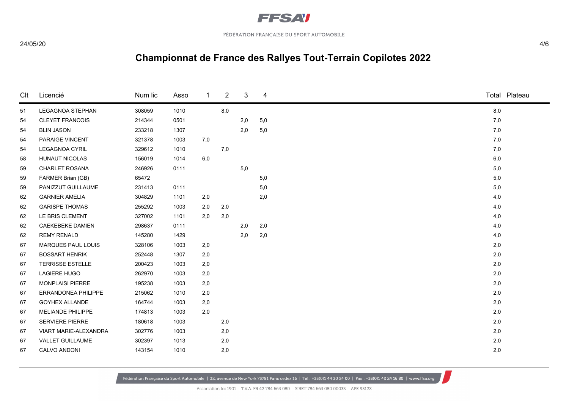

| Clt | Licencié                  | Num lic | Asso | 1   | $\overline{c}$ | 3   | 4   |     | Total Plateau |
|-----|---------------------------|---------|------|-----|----------------|-----|-----|-----|---------------|
| 51  | LEGAGNOA STEPHAN          | 308059  | 1010 |     | 8,0            |     |     | 8,0 |               |
| 54  | <b>CLEYET FRANCOIS</b>    | 214344  | 0501 |     |                | 2,0 | 5,0 | 7,0 |               |
| 54  | <b>BLIN JASON</b>         | 233218  | 1307 |     |                | 2,0 | 5,0 | 7,0 |               |
| 54  | PARAIGE VINCENT           | 321378  | 1003 | 7,0 |                |     |     | 7,0 |               |
| 54  | LEGAGNOA CYRIL            | 329612  | 1010 |     | 7,0            |     |     | 7,0 |               |
| 58  | <b>HUNAUT NICOLAS</b>     | 156019  | 1014 | 6,0 |                |     |     | 6,0 |               |
| 59  | CHARLET ROSANA            | 246926  | 0111 |     |                | 5,0 |     | 5,0 |               |
| 59  | FARMER Brian (GB)         | 65472   |      |     |                |     | 5,0 | 5,0 |               |
| 59  | PANIZZUT GUILLAUME        | 231413  | 0111 |     |                |     | 5,0 | 5,0 |               |
| 62  | <b>GARNIER AMELIA</b>     | 304829  | 1101 | 2,0 |                |     | 2,0 | 4,0 |               |
| 62  | <b>GARISPE THOMAS</b>     | 255292  | 1003 | 2,0 | 2,0            |     |     | 4,0 |               |
| 62  | LE BRIS CLEMENT           | 327002  | 1101 | 2,0 | 2,0            |     |     | 4,0 |               |
| 62  | <b>CAEKEBEKE DAMIEN</b>   | 298637  | 0111 |     |                | 2,0 | 2,0 | 4,0 |               |
| 62  | <b>REMY RENALD</b>        | 145280  | 1429 |     |                | 2,0 | 2,0 | 4,0 |               |
| 67  | <b>MARQUES PAUL LOUIS</b> | 328106  | 1003 | 2,0 |                |     |     | 2,0 |               |
| 67  | <b>BOSSART HENRIK</b>     | 252448  | 1307 | 2,0 |                |     |     | 2,0 |               |
| 67  | <b>TERRISSE ESTELLE</b>   | 200423  | 1003 | 2,0 |                |     |     | 2,0 |               |
| 67  | LAGIERE HUGO              | 262970  | 1003 | 2,0 |                |     |     | 2,0 |               |
| 67  | <b>MONPLAISI PIERRE</b>   | 195238  | 1003 | 2,0 |                |     |     | 2,0 |               |
| 67  | ERRANDONEA PHILIPPE       | 215062  | 1010 | 2,0 |                |     |     | 2,0 |               |
| 67  | <b>GOYHEX ALLANDE</b>     | 164744  | 1003 | 2,0 |                |     |     | 2,0 |               |
| 67  | MELIANDE PHILIPPE         | 174813  | 1003 | 2,0 |                |     |     | 2,0 |               |
| 67  | <b>SERVIERE PIERRE</b>    | 180618  | 1003 |     | 2,0            |     |     | 2,0 |               |
| 67  | VIART MARIE-ALEXANDRA     | 302776  | 1003 |     | 2,0            |     |     | 2,0 |               |
| 67  | <b>VALLET GUILLAUME</b>   | 302397  | 1013 |     | 2,0            |     |     | 2,0 |               |
| 67  | CALVO ANDONI              | 143154  | 1010 |     | 2,0            |     |     | 2,0 |               |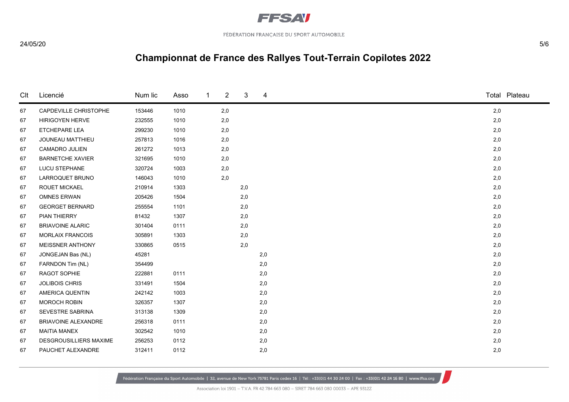

| Clt | Licencié                      | Num lic | Asso | 1 | $\overline{2}$ | $\mathbf{3}$ | 4   |       | Total Plateau |
|-----|-------------------------------|---------|------|---|----------------|--------------|-----|-------|---------------|
| 67  | CAPDEVILLE CHRISTOPHE         | 153446  | 1010 |   | 2,0            |              |     | 2,0   |               |
| 67  | <b>HIRIGOYEN HERVE</b>        | 232555  | 1010 |   | 2,0            |              |     | 2,0   |               |
| 67  | <b>ETCHEPARE LEA</b>          | 299230  | 1010 |   | 2,0            |              |     | 2,0   |               |
| 67  | JOUNEAU MATTHIEU              | 257813  | 1016 |   | 2,0            |              |     | 2,0   |               |
| 67  | CAMADRO JULIEN                | 261272  | 1013 |   | 2,0            |              |     | 2,0   |               |
| 67  | <b>BARNETCHE XAVIER</b>       | 321695  | 1010 |   | 2,0            |              |     | 2,0   |               |
| 67  | LUCU STEPHANE                 | 320724  | 1003 |   | 2,0            |              |     | 2,0   |               |
| 67  | LARROQUET BRUNO               | 146043  | 1010 |   | 2,0            |              |     | 2,0   |               |
| 67  | <b>ROUET MICKAEL</b>          | 210914  | 1303 |   |                | 2,0          |     | 2,0   |               |
| 67  | <b>OMNES ERWAN</b>            | 205426  | 1504 |   |                | 2,0          |     | 2,0   |               |
| 67  | <b>GEORGET BERNARD</b>        | 255554  | 1101 |   |                | 2,0          |     | 2,0   |               |
| 67  | PIAN THIERRY                  | 81432   | 1307 |   |                | 2,0          |     | 2,0   |               |
| 67  | <b>BRIAVOINE ALARIC</b>       | 301404  | 0111 |   |                | 2,0          |     | 2,0   |               |
| 67  | <b>MORLAIX FRANCOIS</b>       | 305891  | 1303 |   |                | 2,0          |     | 2,0   |               |
| 67  | <b>MEISSNER ANTHONY</b>       | 330865  | 0515 |   |                | 2,0          |     | 2,0   |               |
| 67  | JONGEJAN Bas (NL)             | 45281   |      |   |                |              | 2,0 | 2,0   |               |
| 67  | FARNDON Tim (NL)              | 354499  |      |   |                |              | 2,0 | 2,0   |               |
| 67  | RAGOT SOPHIE                  | 222881  | 0111 |   |                |              | 2,0 | 2,0   |               |
| 67  | <b>JOLIBOIS CHRIS</b>         | 331491  | 1504 |   |                |              | 2,0 | 2,0   |               |
| 67  | AMERICA QUENTIN               | 242142  | 1003 |   |                |              | 2,0 | 2,0   |               |
| 67  | <b>MOROCH ROBIN</b>           | 326357  | 1307 |   |                |              | 2,0 | 2,0   |               |
| 67  | SEVESTRE SABRINA              | 313138  | 1309 |   |                |              | 2,0 | 2,0   |               |
| 67  | <b>BRIAVOINE ALEXANDRE</b>    | 256318  | 0111 |   |                |              | 2,0 | 2,0   |               |
| 67  | <b>MAITIA MANEX</b>           | 302542  | 1010 |   |                |              | 2,0 | $2,0$ |               |
| 67  | <b>DESGROUSILLIERS MAXIME</b> | 256253  | 0112 |   |                |              | 2,0 | 2,0   |               |
| 67  | PAUCHET ALEXANDRE             | 312411  | 0112 |   |                |              | 2,0 | 2,0   |               |